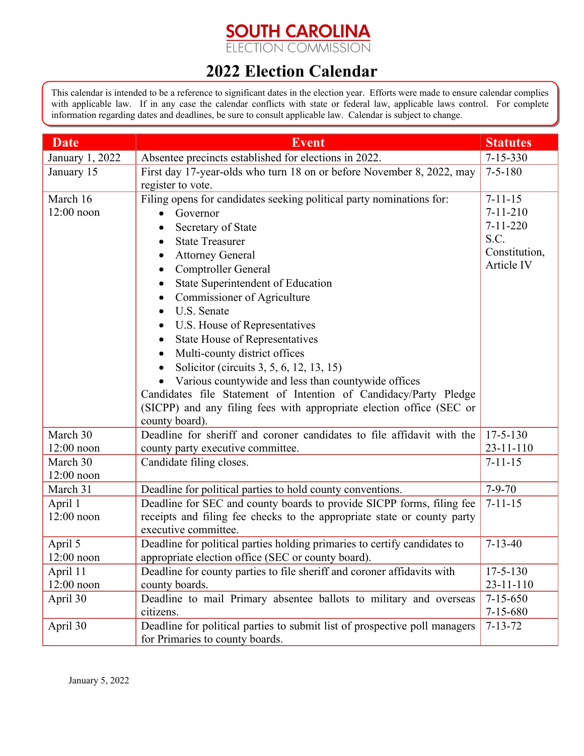## **SOUTH CAROLINA**<br>ELECTION COMMISSION

## **2022 Election Calendar**

This calendar is intended to be a reference to significant dates in the election year. Efforts were made to ensure calendar complies with applicable law. If in any case the calendar conflicts with state or federal law, applicable laws control. For complete information regarding dates and deadlines, be sure to consult applicable law. Calendar is subject to change.

| <b>Date</b>              | <b>Event</b>                                                                                                                    | <b>Statutes</b>                   |
|--------------------------|---------------------------------------------------------------------------------------------------------------------------------|-----------------------------------|
| January 1, 2022          | Absentee precincts established for elections in 2022.                                                                           | $7 - 15 - 330$                    |
| January 15               | First day 17-year-olds who turn 18 on or before November 8, 2022, may                                                           | $7 - 5 - 180$                     |
|                          | register to vote.                                                                                                               |                                   |
| March 16                 | Filing opens for candidates seeking political party nominations for:                                                            | $7 - 11 - 15$                     |
| $12:00$ noon             | Governor<br>$\bullet$                                                                                                           | $7 - 11 - 210$                    |
|                          | Secretary of State                                                                                                              | $7 - 11 - 220$                    |
|                          | <b>State Treasurer</b>                                                                                                          | S.C.                              |
|                          | <b>Attorney General</b>                                                                                                         | Constitution,                     |
|                          | Comptroller General                                                                                                             | Article IV                        |
|                          | State Superintendent of Education                                                                                               |                                   |
|                          | Commissioner of Agriculture                                                                                                     |                                   |
|                          | U.S. Senate                                                                                                                     |                                   |
|                          | U.S. House of Representatives<br>$\bullet$                                                                                      |                                   |
|                          | State House of Representatives                                                                                                  |                                   |
|                          | Multi-county district offices                                                                                                   |                                   |
|                          | Solicitor (circuits 3, 5, 6, 12, 13, 15)                                                                                        |                                   |
|                          | Various countywide and less than countywide offices                                                                             |                                   |
|                          | Candidates file Statement of Intention of Candidacy/Party Pledge                                                                |                                   |
|                          | (SICPP) and any filing fees with appropriate election office (SEC or                                                            |                                   |
|                          | county board).                                                                                                                  |                                   |
| March 30                 | Deadline for sheriff and coroner candidates to file affidavit with the                                                          | $17 - 5 - 130$                    |
| $12:00$ noon             | county party executive committee.                                                                                               | $23 - 11 - 110$                   |
| March 30                 | Candidate filing closes.                                                                                                        | $7 - 11 - 15$                     |
| $12:00$ noon             |                                                                                                                                 |                                   |
| March 31                 | Deadline for political parties to hold county conventions.                                                                      | $7 - 9 - 70$                      |
| April 1                  | Deadline for SEC and county boards to provide SICPP forms, filing fee                                                           | $7 - 11 - 15$                     |
| $12:00$ noon             | receipts and filing fee checks to the appropriate state or county party                                                         |                                   |
|                          | executive committee.                                                                                                            | $7 - 13 - 40$                     |
| April 5<br>$12:00$ noon  | Deadline for political parties holding primaries to certify candidates to<br>appropriate election office (SEC or county board). |                                   |
|                          | Deadline for county parties to file sheriff and coroner affidavits with                                                         |                                   |
| April 11<br>$12:00$ noon | county boards.                                                                                                                  | $17 - 5 - 130$<br>$23 - 11 - 110$ |
| April 30                 | Deadline to mail Primary absentee ballots to military and overseas                                                              | $7 - 15 - 650$                    |
|                          | citizens.                                                                                                                       | $7 - 15 - 680$                    |
| April 30                 | Deadline for political parties to submit list of prospective poll managers                                                      | $7 - 13 - 72$                     |
|                          | for Primaries to county boards.                                                                                                 |                                   |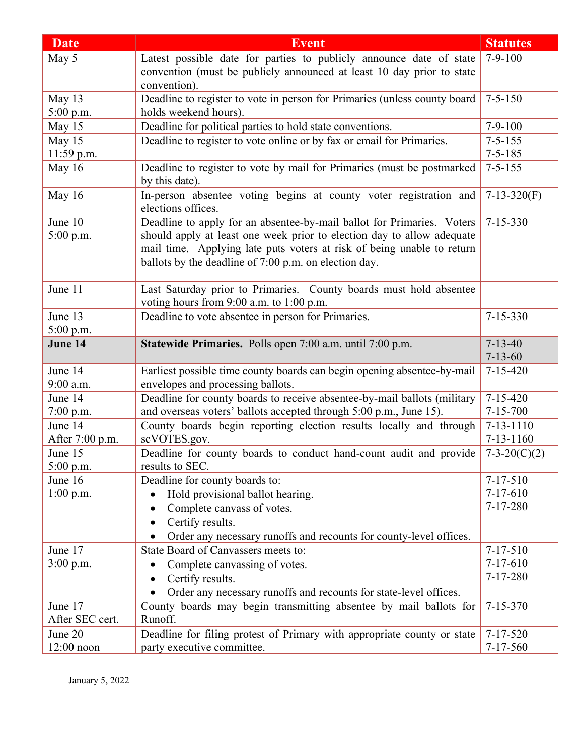| <b>Date</b>     | <b>Event</b>                                                                                                  | <b>Statutes</b> |
|-----------------|---------------------------------------------------------------------------------------------------------------|-----------------|
| May 5           | Latest possible date for parties to publicly announce date of state                                           | $7-9-100$       |
|                 | convention (must be publicly announced at least 10 day prior to state                                         |                 |
|                 | convention).                                                                                                  |                 |
| May 13          | Deadline to register to vote in person for Primaries (unless county board                                     | $7 - 5 - 150$   |
| 5:00 p.m.       | holds weekend hours).                                                                                         |                 |
| May 15          | Deadline for political parties to hold state conventions.                                                     | $7-9-100$       |
| May 15          | Deadline to register to vote online or by fax or email for Primaries.                                         | $7 - 5 - 155$   |
| 11:59 p.m.      |                                                                                                               | $7 - 5 - 185$   |
| May 16          | Deadline to register to vote by mail for Primaries (must be postmarked<br>by this date).                      | $7 - 5 - 155$   |
| May 16          | In-person absentee voting begins at county voter registration and<br>elections offices.                       | $7-13-320(F)$   |
| June 10         | Deadline to apply for an absentee-by-mail ballot for Primaries. Voters                                        | $7 - 15 - 330$  |
| $5:00$ p.m.     | should apply at least one week prior to election day to allow adequate                                        |                 |
|                 | mail time. Applying late puts voters at risk of being unable to return                                        |                 |
|                 | ballots by the deadline of 7:00 p.m. on election day.                                                         |                 |
|                 |                                                                                                               |                 |
| June 11         | Last Saturday prior to Primaries. County boards must hold absentee                                            |                 |
|                 | voting hours from 9:00 a.m. to 1:00 p.m.                                                                      |                 |
| June 13         | Deadline to vote absentee in person for Primaries.                                                            | $7 - 15 - 330$  |
| 5:00 p.m.       |                                                                                                               |                 |
| June 14         | Statewide Primaries. Polls open 7:00 a.m. until 7:00 p.m.                                                     | $7 - 13 - 40$   |
| June 14         |                                                                                                               | $7 - 13 - 60$   |
| $9:00$ a.m.     | Earliest possible time county boards can begin opening absentee-by-mail                                       | $7 - 15 - 420$  |
| June 14         | envelopes and processing ballots.<br>Deadline for county boards to receive absentee-by-mail ballots (military | $7 - 15 - 420$  |
| $7:00$ p.m.     | and overseas voters' ballots accepted through 5:00 p.m., June 15).                                            | $7 - 15 - 700$  |
| June 14         | County boards begin reporting election results locally and through                                            | $7 - 13 - 1110$ |
| After 7:00 p.m. | scVOTES.gov.                                                                                                  | $7 - 13 - 1160$ |
| June 15         | Deadline for county boards to conduct hand-count audit and provide                                            | $7-3-20(C)(2)$  |
| $5:00$ p.m.     | results to SEC.                                                                                               |                 |
| June 16         | Deadline for county boards to:                                                                                | $7 - 17 - 510$  |
| $1:00$ p.m.     | Hold provisional ballot hearing.<br>$\bullet$                                                                 | $7 - 17 - 610$  |
|                 | Complete canvass of votes.                                                                                    | $7 - 17 - 280$  |
|                 | Certify results.                                                                                              |                 |
|                 | Order any necessary runoffs and recounts for county-level offices.                                            |                 |
| June 17         | State Board of Canvassers meets to:                                                                           | $7 - 17 - 510$  |
| $3:00$ p.m.     | Complete canvassing of votes.                                                                                 | $7 - 17 - 610$  |
|                 | Certify results.                                                                                              | $7 - 17 - 280$  |
|                 | Order any necessary runoffs and recounts for state-level offices.<br>$\bullet$                                |                 |
| June 17         | County boards may begin transmitting absentee by mail ballots for                                             | $7 - 15 - 370$  |
| After SEC cert. | Runoff.                                                                                                       |                 |
| June 20         | Deadline for filing protest of Primary with appropriate county or state                                       | $7 - 17 - 520$  |
| $12:00$ noon    | party executive committee.                                                                                    | $7 - 17 - 560$  |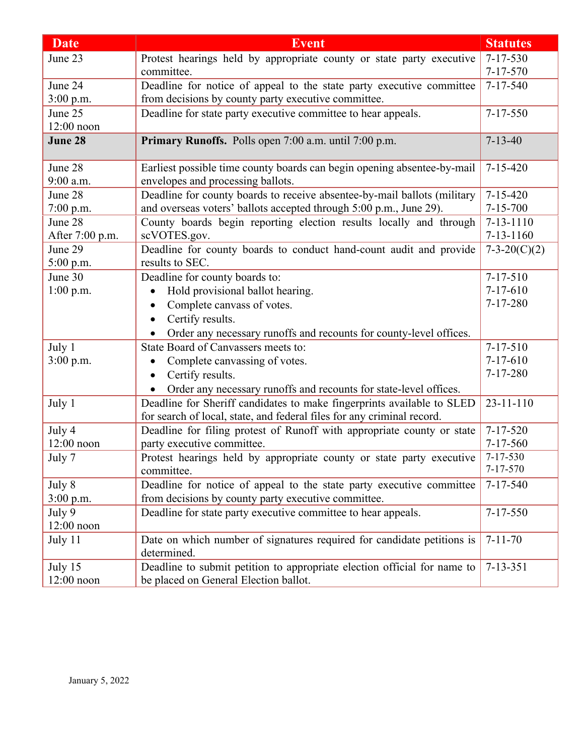| <b>Date</b>     | <b>Event</b>                                                                    | <b>Statutes</b>            |
|-----------------|---------------------------------------------------------------------------------|----------------------------|
| June 23         | Protest hearings held by appropriate county or state party executive            | $7 - 17 - 530$             |
|                 | committee.                                                                      | $7 - 17 - 570$             |
| June 24         | Deadline for notice of appeal to the state party executive committee            | $7 - 17 - 540$             |
| 3:00 p.m.       | from decisions by county party executive committee.                             |                            |
| June 25         | Deadline for state party executive committee to hear appeals.                   | $7 - 17 - 550$             |
| $12:00$ noon    |                                                                                 |                            |
| June 28         | Primary Runoffs. Polls open 7:00 a.m. until 7:00 p.m.                           | $7 - 13 - 40$              |
| June 28         | Earliest possible time county boards can begin opening absentee-by-mail         | $7 - 15 - 420$             |
| 9:00 a.m.       | envelopes and processing ballots.                                               |                            |
| June 28         | Deadline for county boards to receive absentee-by-mail ballots (military        | $7 - 15 - 420$             |
| $7:00$ p.m.     | and overseas voters' ballots accepted through 5:00 p.m., June 29).              | $7 - 15 - 700$             |
| June 28         | County boards begin reporting election results locally and through              | $7 - 13 - 1110$            |
| After 7:00 p.m. | scVOTES.gov.                                                                    | $7 - 13 - 1160$            |
| June 29         | Deadline for county boards to conduct hand-count audit and provide              | $7-3-20(C)(2)$             |
| $5:00$ p.m.     | results to SEC.                                                                 |                            |
| June 30         | Deadline for county boards to:                                                  | $7 - 17 - 510$             |
| $1:00$ p.m.     | Hold provisional ballot hearing.                                                | $7-17-610$                 |
|                 | Complete canvass of votes.                                                      | $7 - 17 - 280$             |
|                 | Certify results.<br>$\bullet$                                                   |                            |
|                 | Order any necessary runoffs and recounts for county-level offices.<br>$\bullet$ |                            |
| July 1          | State Board of Canvassers meets to:                                             | $7 - 17 - 510$             |
| 3:00 p.m.       | Complete canvassing of votes.                                                   | $7 - 17 - 610$             |
|                 | Certify results.                                                                | $7 - 17 - 280$             |
|                 | Order any necessary runoffs and recounts for state-level offices.               |                            |
| July 1          | Deadline for Sheriff candidates to make fingerprints available to SLED          | $23 - 11 - 110$            |
|                 | for search of local, state, and federal files for any criminal record.          |                            |
| July 4          | Deadline for filing protest of Runoff with appropriate county or state          | $7 - 17 - 520$             |
| $12:00$ noon    | party executive committee.                                                      | $7 - 17 - 560$             |
| July 7          | Protest hearings held by appropriate county or state party executive            | 7-17-530<br>$7 - 17 - 570$ |
|                 | committee.                                                                      |                            |
| July 8          | Deadline for notice of appeal to the state party executive committee            | $7 - 17 - 540$             |
| $3:00$ p.m.     | from decisions by county party executive committee.                             |                            |
| July 9          | Deadline for state party executive committee to hear appeals.                   | $7 - 17 - 550$             |
| 12:00 noon      |                                                                                 |                            |
| July 11         | Date on which number of signatures required for candidate petitions is          | $7 - 11 - 70$              |
|                 | determined.                                                                     |                            |
| July 15         | Deadline to submit petition to appropriate election official for name to        | $7 - 13 - 351$             |
| $12:00$ noon    | be placed on General Election ballot.                                           |                            |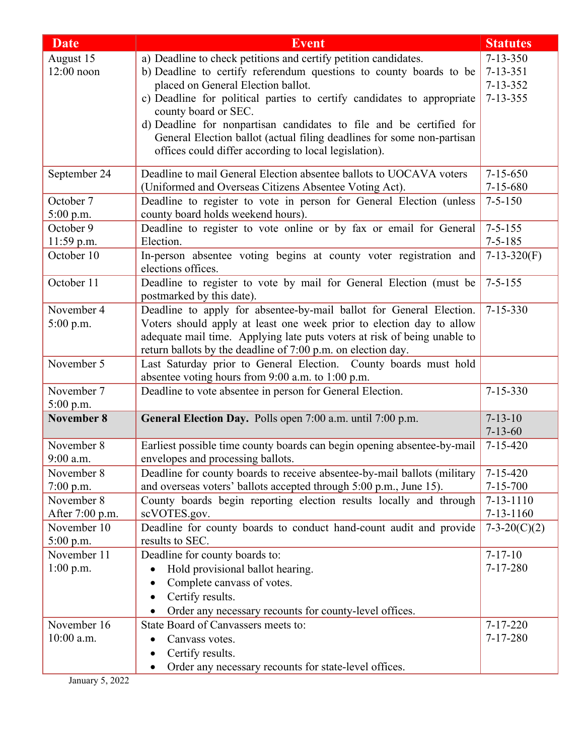| <b>Date</b>             | <b>Event</b>                                                                                    | <b>Statutes</b> |
|-------------------------|-------------------------------------------------------------------------------------------------|-----------------|
| August 15               | a) Deadline to check petitions and certify petition candidates.                                 | $7 - 13 - 350$  |
| $12:00$ noon            | b) Deadline to certify referendum questions to county boards to be                              | $7 - 13 - 351$  |
|                         | placed on General Election ballot.                                                              | $7 - 13 - 352$  |
|                         | c) Deadline for political parties to certify candidates to appropriate                          | $7 - 13 - 355$  |
|                         | county board or SEC.                                                                            |                 |
|                         | d) Deadline for nonpartisan candidates to file and be certified for                             |                 |
|                         | General Election ballot (actual filing deadlines for some non-partisan                          |                 |
|                         | offices could differ according to local legislation).                                           |                 |
| September 24            | Deadline to mail General Election absentee ballots to UOCAVA voters                             | $7 - 15 - 650$  |
|                         | (Uniformed and Overseas Citizens Absentee Voting Act).                                          | $7 - 15 - 680$  |
| October 7               | Deadline to register to vote in person for General Election (unless                             | $7 - 5 - 150$   |
| 5:00 p.m.               | county board holds weekend hours).                                                              |                 |
| October 9               | Deadline to register to vote online or by fax or email for General                              | $7 - 5 - 155$   |
| 11:59 p.m.              | Election.                                                                                       | $7 - 5 - 185$   |
| October 10              | In-person absentee voting begins at county voter registration and<br>elections offices.         | $7-13-320(F)$   |
| October 11              | Deadline to register to vote by mail for General Election (must be<br>postmarked by this date). | $7 - 5 - 155$   |
| November 4              | Deadline to apply for absentee-by-mail ballot for General Election.                             | $7 - 15 - 330$  |
| 5:00 p.m.               | Voters should apply at least one week prior to election day to allow                            |                 |
|                         | adequate mail time. Applying late puts voters at risk of being unable to                        |                 |
|                         | return ballots by the deadline of 7:00 p.m. on election day.                                    |                 |
| November 5              | Last Saturday prior to General Election. County boards must hold                                |                 |
|                         | absentee voting hours from 9:00 a.m. to 1:00 p.m.                                               |                 |
| November 7<br>5:00 p.m. | Deadline to vote absentee in person for General Election.                                       | $7 - 15 - 330$  |
| November 8              | General Election Day. Polls open 7:00 a.m. until 7:00 p.m.                                      | $7 - 13 - 10$   |
|                         |                                                                                                 | $7 - 13 - 60$   |
| November 8              | Earliest possible time county boards can begin opening absentee-by-mail                         | $7 - 15 - 420$  |
| 9:00 a.m.               | envelopes and processing ballots.                                                               |                 |
| November 8              | Deadline for county boards to receive absentee-by-mail ballots (military                        | $7 - 15 - 420$  |
| $7:00$ p.m.             | and overseas voters' ballots accepted through 5:00 p.m., June 15).                              | $7 - 15 - 700$  |
| November 8              | County boards begin reporting election results locally and through                              | $7 - 13 - 1110$ |
| After 7:00 p.m.         | scVOTES.gov.                                                                                    | $7 - 13 - 1160$ |
| November 10             | Deadline for county boards to conduct hand-count audit and provide                              | $7-3-20(C)(2)$  |
| 5:00 p.m.               | results to SEC.                                                                                 |                 |
| November 11             | Deadline for county boards to:                                                                  | $7 - 17 - 10$   |
| $1:00$ p.m.             | Hold provisional ballot hearing.                                                                | $7 - 17 - 280$  |
|                         | Complete canvass of votes.                                                                      |                 |
|                         | Certify results.                                                                                |                 |
|                         | Order any necessary recounts for county-level offices.                                          |                 |
| November 16             | State Board of Canvassers meets to:                                                             | $7 - 17 - 220$  |
| 10:00 a.m.              | Canvass votes.                                                                                  | $7 - 17 - 280$  |
|                         | Certify results.                                                                                |                 |
|                         | Order any necessary recounts for state-level offices.<br>$\bullet$                              |                 |

January 5, 2022